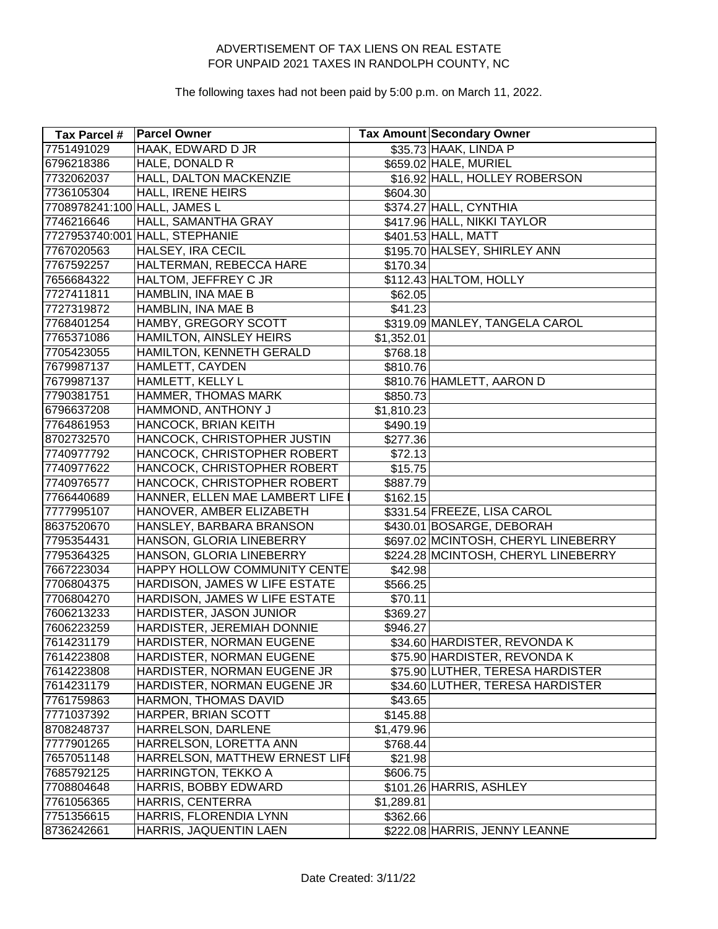| Tax Parcel #                 | <b>Parcel Owner</b>            |            | <b>Tax Amount Secondary Owner</b>   |
|------------------------------|--------------------------------|------------|-------------------------------------|
| 7751491029                   | HAAK, EDWARD D JR              |            | \$35.73 HAAK, LINDA P               |
| 6796218386                   | HALE, DONALD R                 |            | \$659.02 HALE, MURIEL               |
| 7732062037                   | HALL, DALTON MACKENZIE         |            | \$16.92 HALL, HOLLEY ROBERSON       |
| 7736105304                   | <b>HALL, IRENE HEIRS</b>       | \$604.30   |                                     |
| 7708978241:100 HALL, JAMES L |                                |            | \$374.27 HALL, CYNTHIA              |
| 7746216646                   | HALL, SAMANTHA GRAY            |            | \$417.96 HALL, NIKKI TAYLOR         |
|                              | 7727953740:001 HALL, STEPHANIE |            | \$401.53 HALL, MATT                 |
| 7767020563                   | <b>HALSEY, IRA CECIL</b>       |            | \$195.70 HALSEY, SHIRLEY ANN        |
| 7767592257                   | HALTERMAN, REBECCA HARE        | \$170.34   |                                     |
| 7656684322                   | HALTOM, JEFFREY C JR           |            | \$112.43 HALTOM, HOLLY              |
| 7727411811                   | HAMBLIN, INA MAE B             | \$62.05    |                                     |
| 7727319872                   | HAMBLIN, INA MAE B             | \$41.23    |                                     |
| 7768401254                   | HAMBY, GREGORY SCOTT           |            | \$319.09 MANLEY, TANGELA CAROL      |
| 7765371086                   | HAMILTON, AINSLEY HEIRS        | \$1,352.01 |                                     |
| 7705423055                   | HAMILTON, KENNETH GERALD       | \$768.18   |                                     |
| 7679987137                   | HAMLETT, CAYDEN                | \$810.76   |                                     |
| 7679987137                   | HAMLETT, KELLY L               |            | \$810.76 HAMLETT, AARON D           |
| 7790381751                   | HAMMER, THOMAS MARK            | \$850.73   |                                     |
| 6796637208                   | HAMMOND, ANTHONY J             | \$1,810.23 |                                     |
| 7764861953                   | HANCOCK, BRIAN KEITH           | \$490.19   |                                     |
| 8702732570                   | HANCOCK, CHRISTOPHER JUSTIN    | \$277.36   |                                     |
| 7740977792                   | HANCOCK, CHRISTOPHER ROBERT    | \$72.13    |                                     |
| 7740977622                   | HANCOCK, CHRISTOPHER ROBERT    | \$15.75    |                                     |
| 7740976577                   | HANCOCK, CHRISTOPHER ROBERT    | \$887.79   |                                     |
| 7766440689                   | HANNER, ELLEN MAE LAMBERT LIFE | \$162.15   |                                     |
| 7777995107                   | HANOVER, AMBER ELIZABETH       |            | \$331.54 FREEZE, LISA CAROL         |
| 8637520670                   | HANSLEY, BARBARA BRANSON       |            | \$430.01 BOSARGE, DEBORAH           |
| 7795354431                   | HANSON, GLORIA LINEBERRY       |            | \$697.02 MCINTOSH, CHERYL LINEBERRY |
| 7795364325                   | HANSON, GLORIA LINEBERRY       |            | \$224.28 MCINTOSH, CHERYL LINEBERRY |
| 7667223034                   | HAPPY HOLLOW COMMUNITY CENTE   | \$42.98    |                                     |
| 7706804375                   | HARDISON, JAMES W LIFE ESTATE  | \$566.25   |                                     |
| 7706804270                   | HARDISON, JAMES W LIFE ESTATE  | \$70.11    |                                     |
| 7606213233                   | HARDISTER, JASON JUNIOR        | \$369.27   |                                     |
| 7606223259                   | HARDISTER, JEREMIAH DONNIE     | \$946.27   |                                     |
| 7614231179                   | HARDISTER, NORMAN EUGENE       |            | \$34.60 HARDISTER, REVONDA K        |
| 7614223808                   | HARDISTER, NORMAN EUGENE       |            | \$75.90 HARDISTER, REVONDA K        |
| 7614223808                   | HARDISTER, NORMAN EUGENE JR    |            | \$75.90 LUTHER, TERESA HARDISTER    |
| 7614231179                   | HARDISTER, NORMAN EUGENE JR    |            | \$34.60 LUTHER, TERESA HARDISTER    |
| 7761759863                   | HARMON, THOMAS DAVID           | \$43.65    |                                     |
| 7771037392                   | HARPER, BRIAN SCOTT            | \$145.88   |                                     |
| 8708248737                   | HARRELSON, DARLENE             | \$1,479.96 |                                     |
| 7777901265                   | HARRELSON, LORETTA ANN         | \$768.44   |                                     |
| 7657051148                   | HARRELSON, MATTHEW ERNEST LIFI | \$21.98    |                                     |
| 7685792125                   | HARRINGTON, TEKKO A            | \$606.75]  |                                     |
| 7708804648                   | HARRIS, BOBBY EDWARD           |            | \$101.26 HARRIS, ASHLEY             |
| 7761056365                   | HARRIS, CENTERRA               | \$1,289.81 |                                     |
| 7751356615                   | HARRIS, FLORENDIA LYNN         | \$362.66   |                                     |
| 8736242661                   | HARRIS, JAQUENTIN LAEN         |            | \$222.08 HARRIS, JENNY LEANNE       |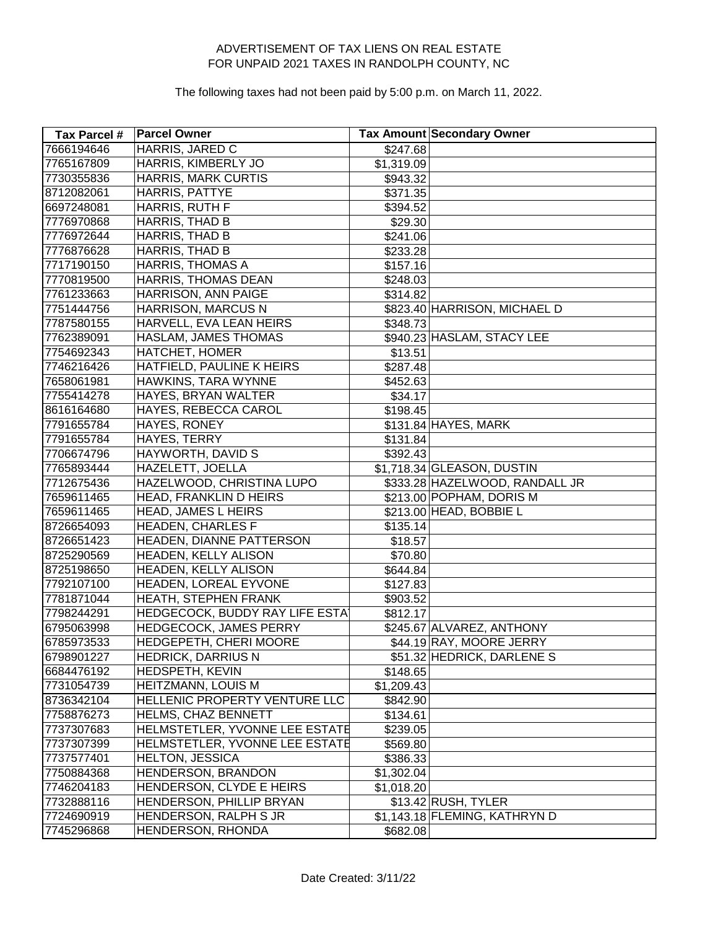| Tax Parcel # | <b>Parcel Owner</b>            |            | Tax Amount Secondary Owner     |
|--------------|--------------------------------|------------|--------------------------------|
| 7666194646   | HARRIS, JARED C                | \$247.68   |                                |
| 7765167809   | HARRIS, KIMBERLY JO            | \$1,319.09 |                                |
| 7730355836   | <b>HARRIS, MARK CURTIS</b>     | \$943.32   |                                |
| 8712082061   | HARRIS, PATTYE                 | \$371.35   |                                |
| 6697248081   | HARRIS, RUTH F                 | \$394.52   |                                |
| 7776970868   | HARRIS, THAD B                 | \$29.30    |                                |
| 7776972644   | HARRIS, THAD B                 | \$241.06   |                                |
| 7776876628   | HARRIS, THAD B                 | \$233.28   |                                |
| 7717190150   | HARRIS, THOMAS A               | \$157.16   |                                |
| 7770819500   | HARRIS, THOMAS DEAN            | \$248.03   |                                |
| 7761233663   | HARRISON, ANN PAIGE            | \$314.82   |                                |
| 7751444756   | <b>HARRISON, MARCUS N</b>      |            | \$823.40 HARRISON, MICHAEL D   |
| 7787580155   | HARVELL, EVA LEAN HEIRS        | \$348.73   |                                |
| 7762389091   | HASLAM, JAMES THOMAS           |            | \$940.23 HASLAM, STACY LEE     |
| 7754692343   | <b>HATCHET, HOMER</b>          | \$13.51    |                                |
| 7746216426   | HATFIELD, PAULINE K HEIRS      | \$287.48   |                                |
| 7658061981   | HAWKINS, TARA WYNNE            | \$452.63   |                                |
| 7755414278   | HAYES, BRYAN WALTER            | \$34.17    |                                |
| 8616164680   | HAYES, REBECCA CAROL           | \$198.45   |                                |
| 7791655784   | HAYES, RONEY                   |            | \$131.84 HAYES, MARK           |
| 7791655784   | HAYES, TERRY                   | \$131.84   |                                |
| 7706674796   | HAYWORTH, DAVID S              | \$392.43   |                                |
| 7765893444   | HAZELETT, JOELLA               |            | \$1,718.34 GLEASON, DUSTIN     |
| 7712675436   | HAZELWOOD, CHRISTINA LUPO      |            | \$333.28 HAZELWOOD, RANDALL JR |
| 7659611465   | HEAD, FRANKLIN D HEIRS         |            | \$213.00 POPHAM, DORIS M       |
| 7659611465   | <b>HEAD, JAMES L HEIRS</b>     |            | \$213.00 HEAD, BOBBIE L        |
| 8726654093   | <b>HEADEN, CHARLES F</b>       | \$135.14   |                                |
| 8726651423   | HEADEN, DIANNE PATTERSON       | \$18.57    |                                |
| 8725290569   | HEADEN, KELLY ALISON           | \$70.80    |                                |
| 8725198650   | HEADEN, KELLY ALISON           | \$644.84   |                                |
| 7792107100   | HEADEN, LOREAL EYVONE          | \$127.83   |                                |
| 7781871044   | HEATH, STEPHEN FRANK           | \$903.52   |                                |
| 7798244291   | HEDGECOCK, BUDDY RAY LIFE ESTA | \$812.17   |                                |
| 6795063998   | HEDGECOCK, JAMES PERRY         |            | \$245.67 ALVAREZ, ANTHONY      |
| 6785973533   | HEDGEPETH, CHERI MOORE         |            | \$44.19 RAY, MOORE JERRY       |
| 6798901227   | <b>HEDRICK, DARRIUS N</b>      |            | \$51.32 HEDRICK, DARLENE S     |
| 6684476192   | HEDSPETH, KEVIN                | \$148.65   |                                |
| 7731054739   | <b>HEITZMANN, LOUIS M</b>      | \$1,209.43 |                                |
| 8736342104   | HELLENIC PROPERTY VENTURE LLC  | \$842.90   |                                |
| 7758876273   | HELMS, CHAZ BENNETT            | \$134.61   |                                |
| 7737307683   | HELMSTETLER, YVONNE LEE ESTATE | \$239.05   |                                |
| 7737307399   | HELMSTETLER, YVONNE LEE ESTATE | \$569.80   |                                |
| 7737577401   | <b>HELTON, JESSICA</b>         | \$386.33   |                                |
| 7750884368   | HENDERSON, BRANDON             | \$1,302.04 |                                |
| 7746204183   | HENDERSON, CLYDE E HEIRS       | \$1,018.20 |                                |
| 7732888116   | HENDERSON, PHILLIP BRYAN       |            | \$13.42 RUSH, TYLER            |
| 7724690919   | HENDERSON, RALPH S JR          |            | \$1,143.18 FLEMING, KATHRYN D  |
| 7745296868   | HENDERSON, RHONDA              | \$682.08   |                                |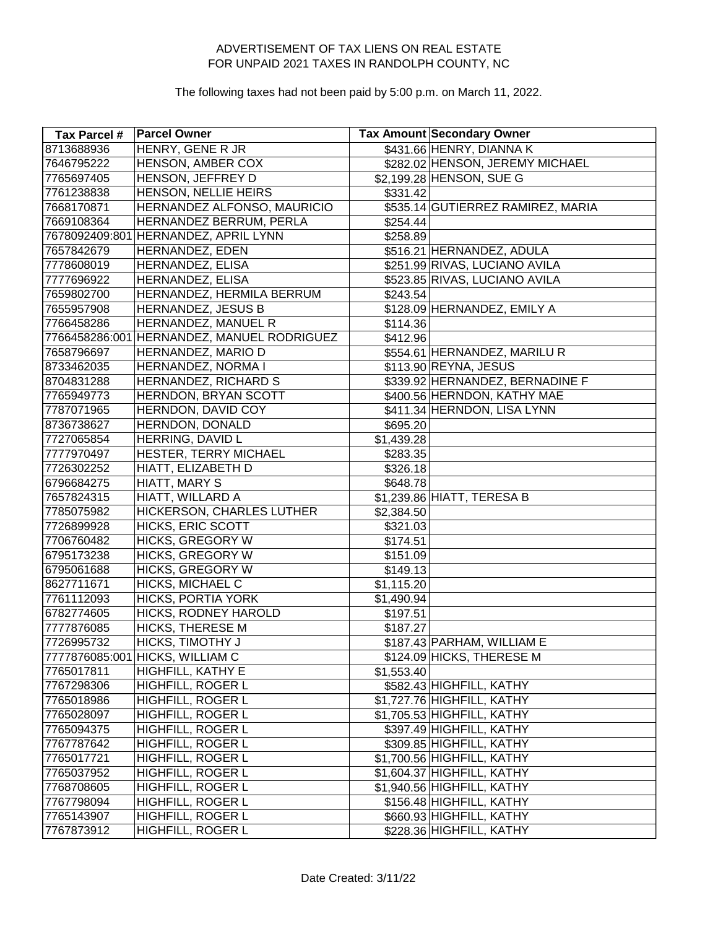| Tax Parcel #   | <b>Parcel Owner</b>                        |            | Tax Amount Secondary Owner        |
|----------------|--------------------------------------------|------------|-----------------------------------|
| 8713688936     | <b>HENRY, GENE R JR</b>                    |            | \$431.66 HENRY, DIANNA K          |
| 7646795222     | HENSON, AMBER COX                          |            | \$282.02 HENSON, JEREMY MICHAEL   |
| 7765697405     | HENSON, JEFFREY D                          |            | \$2,199.28 HENSON, SUE G          |
| 7761238838     | HENSON, NELLIE HEIRS                       | \$331.42   |                                   |
| 7668170871     | HERNANDEZ ALFONSO, MAURICIO                |            | \$535.14 GUTIERREZ RAMIREZ, MARIA |
| 7669108364     | HERNANDEZ BERRUM, PERLA                    | \$254.44   |                                   |
| 7678092409:801 | <b>HERNANDEZ, APRIL LYNN</b>               | \$258.89   |                                   |
| 7657842679     | HERNANDEZ, EDEN                            |            | \$516.21 HERNANDEZ, ADULA         |
| 7778608019     | HERNANDEZ, ELISA                           |            | \$251.99 RIVAS, LUCIANO AVILA     |
| 7777696922     | HERNANDEZ, ELISA                           |            | \$523.85 RIVAS, LUCIANO AVILA     |
| 7659802700     | HERNANDEZ, HERMILA BERRUM                  | \$243.54   |                                   |
| 7655957908     | HERNANDEZ, JESUS B                         |            | \$128.09 HERNANDEZ, EMILY A       |
| 7766458286     | <b>HERNANDEZ, MANUEL R</b>                 | \$114.36   |                                   |
|                | 7766458286:001 HERNANDEZ, MANUEL RODRIGUEZ | \$412.96   |                                   |
| 7658796697     | HERNANDEZ, MARIO D                         |            | \$554.61 HERNANDEZ, MARILUR       |
| 8733462035     | HERNANDEZ, NORMA I                         |            | \$113.90 REYNA, JESUS             |
| 8704831288     | HERNANDEZ, RICHARD S                       |            | \$339.92 HERNANDEZ, BERNADINE F   |
| 7765949773     | HERNDON, BRYAN SCOTT                       |            | \$400.56 HERNDON, KATHY MAE       |
| 7787071965     | HERNDON, DAVID COY                         |            | \$411.34 HERNDON, LISA LYNN       |
| 8736738627     | HERNDON, DONALD                            | \$695.20   |                                   |
| 7727065854     | HERRING, DAVID L                           | \$1,439.28 |                                   |
| 7777970497     | HESTER, TERRY MICHAEL                      | \$283.35   |                                   |
| 7726302252     | HIATT, ELIZABETH D                         | \$326.18   |                                   |
| 6796684275     | HIATT, MARY S                              | \$648.78   |                                   |
| 7657824315     | HIATT, WILLARD A                           |            | \$1,239.86 HIATT, TERESA B        |
| 7785075982     | HICKERSON, CHARLES LUTHER                  | \$2,384.50 |                                   |
| 7726899928     | <b>HICKS, ERIC SCOTT</b>                   | \$321.03   |                                   |
| 7706760482     | <b>HICKS, GREGORY W</b>                    | \$174.51   |                                   |
| 6795173238     | <b>HICKS, GREGORY W</b>                    | \$151.09   |                                   |
| 6795061688     | <b>HICKS, GREGORY W</b>                    | \$149.13   |                                   |
| 8627711671     | HICKS, MICHAEL C                           | \$1,115.20 |                                   |
| 7761112093     | <b>HICKS, PORTIA YORK</b>                  | \$1,490.94 |                                   |
| 6782774605     | HICKS, RODNEY HAROLD                       | \$197.51   |                                   |
| 7777876085     | <b>HICKS, THERESE M</b>                    | \$187.27   |                                   |
| 7726995732     | HICKS, TIMOTHY J                           |            | \$187.43 PARHAM, WILLIAM E        |
|                | 7777876085:001 HICKS, WILLIAM C            |            | \$124.09 HICKS, THERESE M         |
| 7765017811     | HIGHFILL, KATHY E                          | \$1,553.40 |                                   |
| 7767298306     | HIGHFILL, ROGER L                          |            | \$582.43 HIGHFILL, KATHY          |
| 7765018986     | HIGHFILL, ROGER L                          |            | \$1,727.76 HIGHFILL, KATHY        |
| 7765028097     | HIGHFILL, ROGER L                          |            | \$1,705.53 HIGHFILL, KATHY        |
| 7765094375     | HIGHFILL, ROGER L                          |            | \$397.49 HIGHFILL, KATHY          |
| 7767787642     | HIGHFILL, ROGER L                          |            | \$309.85 HIGHFILL, KATHY          |
| 7765017721     | HIGHFILL, ROGER L                          |            | \$1,700.56 HIGHFILL, KATHY        |
| 7765037952     | <b>HIGHFILL, ROGER L</b>                   |            | \$1,604.37 HIGHFILL, KATHY        |
| 7768708605     | HIGHFILL, ROGER L                          |            | \$1,940.56 HIGHFILL, KATHY        |
| 7767798094     | HIGHFILL, ROGER L                          |            | \$156.48 HIGHFILL, KATHY          |
| 7765143907     | HIGHFILL, ROGER L                          |            | \$660.93 HIGHFILL, KATHY          |
| 7767873912     | HIGHFILL, ROGER L                          |            | \$228.36 HIGHFILL, KATHY          |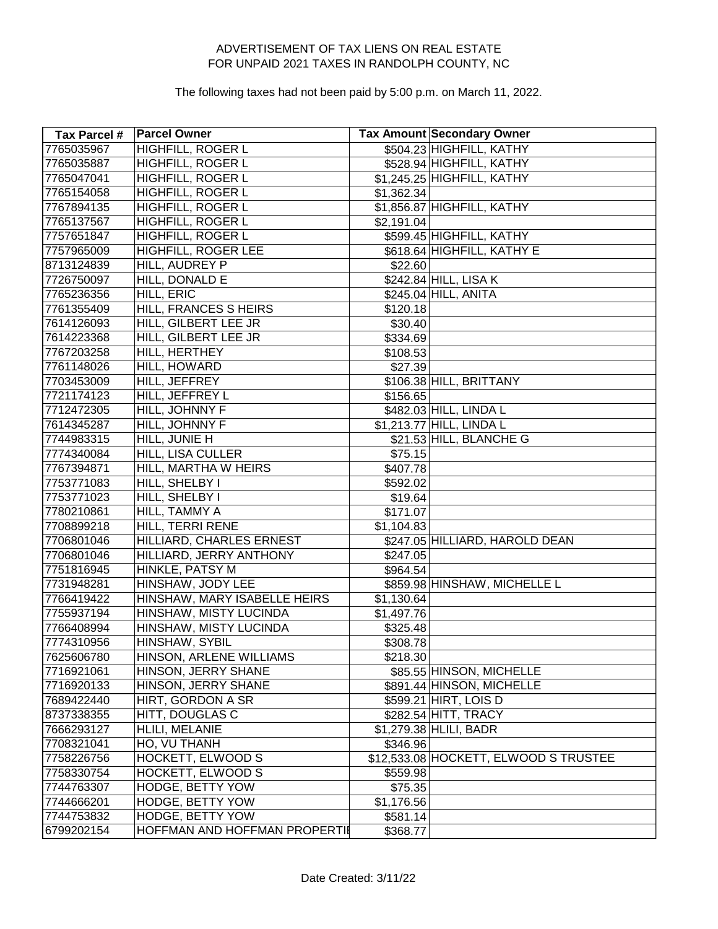| Tax Parcel # | <b>Parcel Owner</b>           |            | <b>Tax Amount Secondary Owner</b>     |
|--------------|-------------------------------|------------|---------------------------------------|
| 7765035967   | <b>HIGHFILL, ROGER L</b>      |            | \$504.23 HIGHFILL, KATHY              |
| 7765035887   | HIGHFILL, ROGER L             |            | \$528.94 HIGHFILL, KATHY              |
| 7765047041   | HIGHFILL, ROGER L             |            | \$1,245.25 HIGHFILL, KATHY            |
| 7765154058   | HIGHFILL, ROGER L             | \$1,362.34 |                                       |
| 7767894135   | HIGHFILL, ROGER L             |            | \$1,856.87 HIGHFILL, KATHY            |
| 7765137567   | HIGHFILL, ROGER L             | \$2,191.04 |                                       |
| 7757651847   | HIGHFILL, ROGER L             |            | \$599.45 HIGHFILL, KATHY              |
| 7757965009   | HIGHFILL, ROGER LEE           |            | \$618.64 HIGHFILL, KATHY E            |
| 8713124839   | HILL, AUDREY P                | \$22.60    |                                       |
| 7726750097   | HILL, DONALD E                |            | \$242.84 HILL, LISA K                 |
| 7765236356   | HILL, ERIC                    |            | \$245.04 HILL, ANITA                  |
| 7761355409   | HILL, FRANCES SHEIRS          | \$120.18   |                                       |
| 7614126093   | HILL, GILBERT LEE JR          | \$30.40    |                                       |
| 7614223368   | <b>HILL, GILBERT LEE JR</b>   | \$334.69   |                                       |
| 7767203258   | HILL, HERTHEY                 | \$108.53   |                                       |
| 7761148026   | HILL, HOWARD                  | \$27.39    |                                       |
| 7703453009   | HILL, JEFFREY                 |            | \$106.38 HILL, BRITTANY               |
| 7721174123   | HILL, JEFFREY L               | \$156.65   |                                       |
| 7712472305   | HILL, JOHNNY F                |            | \$482.03 HILL, LINDA L                |
| 7614345287   | HILL, JOHNNY F                |            | \$1,213.77 HILL, LINDA L              |
| 7744983315   | HILL, JUNIE H                 |            | \$21.53 HILL, BLANCHE G               |
| 7774340084   | HILL, LISA CULLER             | \$75.15    |                                       |
| 7767394871   | HILL, MARTHA W HEIRS          | \$407.78   |                                       |
| 7753771083   | HILL, SHELBY I                | \$592.02   |                                       |
| 7753771023   | HILL, SHELBY I                | \$19.64    |                                       |
| 7780210861   | HILL, TAMMY A                 | \$171.07   |                                       |
| 7708899218   | HILL, TERRI RENE              | \$1,104.83 |                                       |
| 7706801046   | HILLIARD, CHARLES ERNEST      |            | \$247.05 HILLIARD, HAROLD DEAN        |
| 7706801046   | HILLIARD, JERRY ANTHONY       | \$247.05   |                                       |
| 7751816945   | HINKLE, PATSY M               | \$964.54   |                                       |
| 7731948281   | HINSHAW, JODY LEE             |            | \$859.98 HINSHAW, MICHELLE L          |
| 7766419422   | HINSHAW, MARY ISABELLE HEIRS  | \$1,130.64 |                                       |
| 7755937194   | HINSHAW, MISTY LUCINDA        | \$1,497.76 |                                       |
| 7766408994   | HINSHAW, MISTY LUCINDA        | \$325.48   |                                       |
| 7774310956   | HINSHAW, SYBIL                | \$308.78   |                                       |
| 7625606780   | HINSON, ARLENE WILLIAMS       | \$218.30   |                                       |
| 7716921061   | HINSON, JERRY SHANE           |            | \$85.55 HINSON, MICHELLE              |
| 7716920133   | HINSON, JERRY SHANE           |            | \$891.44 HINSON, MICHELLE             |
| 7689422440   | HIRT, GORDON A SR             |            | \$599.21 HIRT, LOIS D                 |
| 8737338355   | HITT, DOUGLAS C               |            | \$282.54 HITT, TRACY                  |
| 7666293127   | HLILI, MELANIE                |            | \$1,279.38 HLILI, BADR                |
| 7708321041   | HO, VU THANH                  | \$346.96   |                                       |
| 7758226756   | <b>HOCKETT, ELWOOD S</b>      |            | \$12,533.08 HOCKETT, ELWOOD S TRUSTEE |
| 7758330754   | <b>HOCKETT, ELWOOD S</b>      | \$559.98   |                                       |
| 7744763307   | HODGE, BETTY YOW              | \$75.35    |                                       |
| 7744666201   | HODGE, BETTY YOW              | \$1,176.56 |                                       |
| 7744753832   | <b>HODGE, BETTY YOW</b>       | \$581.14]  |                                       |
| 6799202154   | HOFFMAN AND HOFFMAN PROPERTIL | \$368.77   |                                       |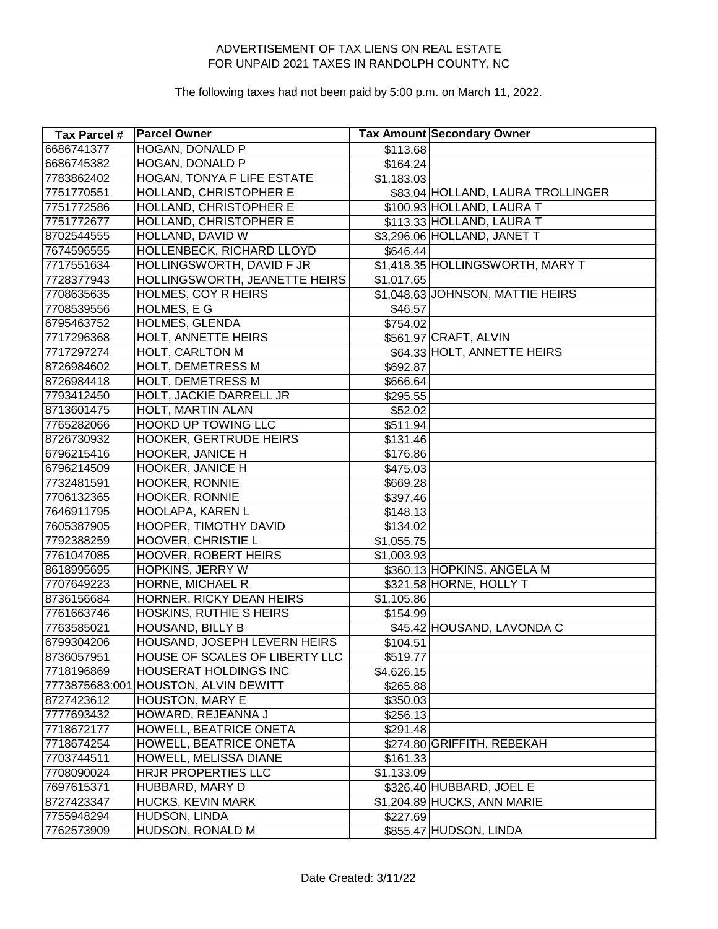| Tax Parcel # | <b>Parcel Owner</b>                  |                      | Tax Amount Secondary Owner        |
|--------------|--------------------------------------|----------------------|-----------------------------------|
| 6686741377   | <b>HOGAN, DONALD P</b>               | $\overline{$}113.68$ |                                   |
| 6686745382   | HOGAN, DONALD P                      | \$164.24             |                                   |
| 7783862402   | HOGAN, TONYA F LIFE ESTATE           | \$1,183.03           |                                   |
| 7751770551   | HOLLAND, CHRISTOPHER E               |                      | \$83.04 HOLLAND, LAURA TROLLINGER |
| 7751772586   | HOLLAND, CHRISTOPHER E               |                      | \$100.93 HOLLAND, LAURA T         |
| 7751772677   | HOLLAND, CHRISTOPHER E               |                      | \$113.33 HOLLAND, LAURA T         |
| 8702544555   | HOLLAND, DAVID W                     |                      | \$3,296.06 HOLLAND, JANET T       |
| 7674596555   | HOLLENBECK, RICHARD LLOYD            | \$646.44             |                                   |
| 7717551634   | HOLLINGSWORTH, DAVID F JR            |                      | \$1,418.35 HOLLINGSWORTH, MARY T  |
| 7728377943   | HOLLINGSWORTH, JEANETTE HEIRS        | \$1,017.65           |                                   |
| 7708635635   | HOLMES, COY R HEIRS                  |                      | \$1,048.63 JOHNSON, MATTIE HEIRS  |
| 7708539556   | HOLMES, E G                          | \$46.57              |                                   |
| 6795463752   | HOLMES, GLENDA                       | \$754.02             |                                   |
| 7717296368   | <b>HOLT, ANNETTE HEIRS</b>           |                      | \$561.97 CRAFT, ALVIN             |
| 7717297274   | <b>HOLT, CARLTON M</b>               |                      | \$64.33 HOLT, ANNETTE HEIRS       |
| 8726984602   | HOLT, DEMETRESS M                    | \$692.87             |                                   |
| 8726984418   | <b>HOLT, DEMETRESS M</b>             | \$666.64             |                                   |
| 7793412450   | HOLT, JACKIE DARRELL JR              | \$295.55             |                                   |
| 8713601475   | HOLT, MARTIN ALAN                    | \$52.02              |                                   |
| 7765282066   | <b>HOOKD UP TOWING LLC</b>           | \$511.94             |                                   |
| 8726730932   | <b>HOOKER, GERTRUDE HEIRS</b>        | \$131.46             |                                   |
| 6796215416   | <b>HOOKER, JANICE H</b>              | \$176.86             |                                   |
| 6796214509   | HOOKER, JANICE H                     | \$475.03             |                                   |
| 7732481591   | HOOKER, RONNIE                       | \$669.28             |                                   |
| 7706132365   | HOOKER, RONNIE                       | \$397.46             |                                   |
| 7646911795   | HOOLAPA, KAREN L                     | \$148.13             |                                   |
| 7605387905   | HOOPER, TIMOTHY DAVID                | \$134.02             |                                   |
| 7792388259   | <b>HOOVER, CHRISTIE L</b>            | \$1,055.75           |                                   |
| 7761047085   | <b>HOOVER, ROBERT HEIRS</b>          | \$1,003.93           |                                   |
| 8618995695   | <b>HOPKINS, JERRY W</b>              |                      | \$360.13 HOPKINS, ANGELA M        |
| 7707649223   | HORNE, MICHAEL R                     |                      | \$321.58 HORNE, HOLLY T           |
| 8736156684   | HORNER, RICKY DEAN HEIRS             | \$1,105.86           |                                   |
| 7761663746   | HOSKINS, RUTHIE S HEIRS              | \$154.99             |                                   |
| 7763585021   | HOUSAND, BILLY B                     |                      | \$45.42 HOUSAND, LAVONDA C        |
| 6799304206   | HOUSAND, JOSEPH LEVERN HEIRS         | \$104.51             |                                   |
| 8736057951   | HOUSE OF SCALES OF LIBERTY LLC       | \$519.77             |                                   |
| 7718196869   | <b>HOUSERAT HOLDINGS INC</b>         | \$4,626.15           |                                   |
|              | 7773875683:001 HOUSTON, ALVIN DEWITT | \$265.88             |                                   |
| 8727423612   | <b>HOUSTON, MARY E</b>               | \$350.03             |                                   |
| 7777693432   | HOWARD, REJEANNA J                   | \$256.13             |                                   |
| 7718672177   | HOWELL, BEATRICE ONETA               | \$291.48             |                                   |
| 7718674254   | HOWELL, BEATRICE ONETA               |                      | \$274.80 GRIFFITH, REBEKAH        |
| 7703744511   | HOWELL, MELISSA DIANE                | \$161.33             |                                   |
| 7708090024   | HRJR PROPERTIES LLC                  | \$1,133.09           |                                   |
| 7697615371   | HUBBARD, MARY D                      |                      | \$326.40 HUBBARD, JOEL E          |
| 8727423347   | HUCKS, KEVIN MARK                    |                      | \$1,204.89 HUCKS, ANN MARIE       |
| 7755948294   | HUDSON, LINDA                        | \$227.69             |                                   |
| 7762573909   | HUDSON, RONALD M                     |                      | \$855.47 HUDSON, LINDA            |